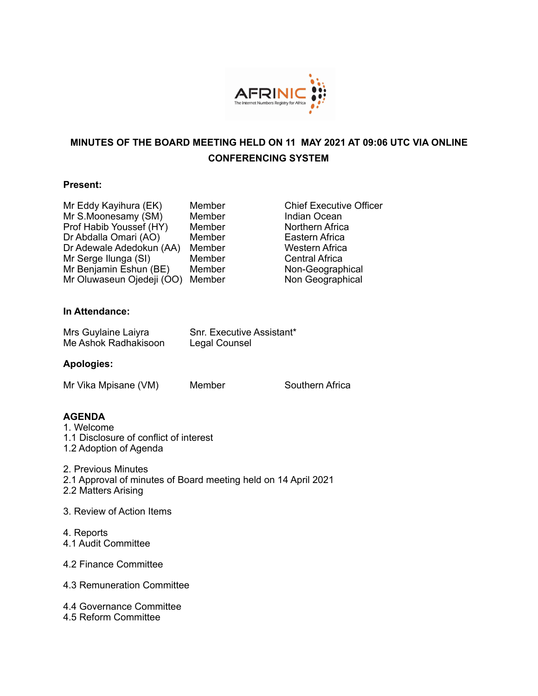

# **MINUTES OF THE BOARD MEETING HELD ON 11 MAY 2021 AT 09:06 UTC VIA ONLINE CONFERENCING SYSTEM**

### **Present:**

Mr Eddy Kayihura (EK) Member Chief Executive Officer Mr S.Moonesamy (SM) Member Manusian Ocean<br>
Prof Habib Youssef (HY) Member Morthern Africa Prof Habib Youssef (HY) Member Northern Africa<br>
Dr Abdalla Omari (AO) Member Eastern Africa Dr Abdalla Omari (AO) Member Eastern Africa<br>Dr Adewale Adedokun (AA) Member Western Africa Dr Adewale Adedokun (AA) Member Western Africa<br>Mr Serge Ilunga (SI) Member Central Africa Mr Serge Ilunga (SI) Mr Benjamin Eshun (BE) Member Non-Geographical<br>Mr Oluwaseun Ojedeji (OO) Member Non Geographical Mr Oluwaseun Ojedeji (OO) Member

### **In Attendance:**

| Mrs Guylaine Laiyra  | <b>Snr. Executive Assistant*</b> |
|----------------------|----------------------------------|
| Me Ashok Radhakisoon | Legal Counsel                    |

### **Apologies:**

Mr Vika Mpisane (VM) Member Southern Africa

# **AGENDA**

- 1. Welcome
- 1.1 Disclosure of conflict of interest
- 1.2 Adoption of Agenda
- 2. Previous Minutes
- 2.1 Approval of minutes of Board meeting held on 14 April 2021
- 2.2 Matters Arising
- 3. Review of Action Items
- 4. Reports 4.1 Audit Committee
- 4.2 Finance Committee
- 4.3 Remuneration Committee
- 4.4 Governance Committee 4.5 Reform Committee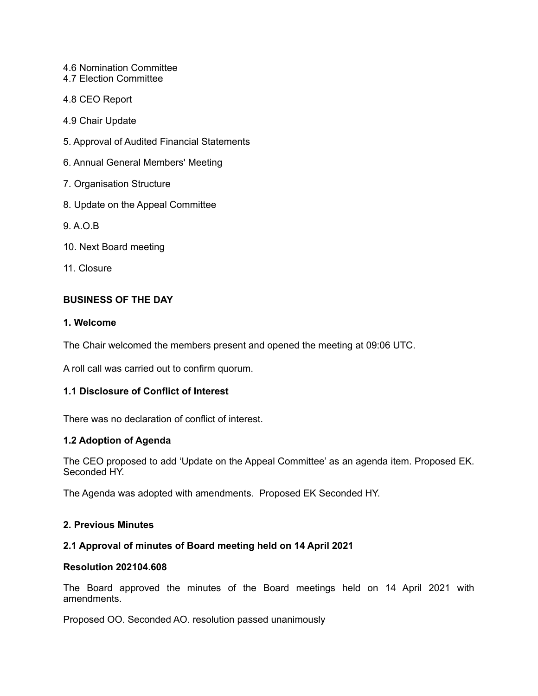- 4.6 Nomination Committee
- 4.7 Election Committee
- 4.8 CEO Report
- 4.9 Chair Update
- 5. Approval of Audited Financial Statements
- 6. Annual General Members' Meeting
- 7. Organisation Structure
- 8. Update on the Appeal Committee
- 9. A.O.B
- 10. Next Board meeting
- 11. Closure

### **BUSINESS OF THE DAY**

#### **1. Welcome**

The Chair welcomed the members present and opened the meeting at 09:06 UTC.

A roll call was carried out to confirm quorum.

## **1.1 Disclosure of Conflict of Interest**

There was no declaration of conflict of interest.

#### **1.2 Adoption of Agenda**

The CEO proposed to add 'Update on the Appeal Committee' as an agenda item. Proposed EK. Seconded HY.

The Agenda was adopted with amendments. Proposed EK Seconded HY.

### **2. Previous Minutes**

#### **2.1 Approval of minutes of Board meeting held on 14 April 2021**

#### **Resolution 202104.608**

The Board approved the minutes of the Board meetings held on 14 April 2021 with amendments.

Proposed OO. Seconded AO. resolution passed unanimously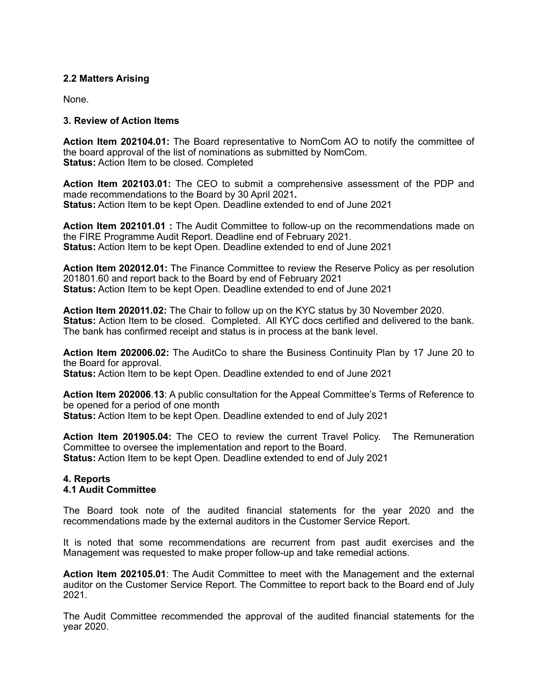### **2.2 Matters Arising**

None.

### **3. Review of Action Items**

**Action Item 202104.01:** The Board representative to NomCom AO to notify the committee of the board approval of the list of nominations as submitted by NomCom. **Status:** Action Item to be closed. Completed

**Action Item 202103.01:** The CEO to submit a comprehensive assessment of the PDP and made recommendations to the Board by 30 April 2021**. Status:** Action Item to be kept Open. Deadline extended to end of June 2021

**Action Item 202101.01 :** The Audit Committee to follow-up on the recommendations made on the FIRE Programme Audit Report. Deadline end of February 2021. **Status:** Action Item to be kept Open. Deadline extended to end of June 2021

**Action Item 202012.01:** The Finance Committee to review the Reserve Policy as per resolution 201801.60 and report back to the Board by end of February 2021 **Status:** Action Item to be kept Open. Deadline extended to end of June 2021

**Action Item 202011.02:** The Chair to follow up on the KYC status by 30 November 2020. **Status:** Action Item to be closed. Completed. All KYC docs certified and delivered to the bank. The bank has confirmed receipt and status is in process at the bank level.

**Action Item 202006.02:** The AuditCo to share the Business Continuity Plan by 17 June 20 to the Board for approval.

**Status:** Action Item to be kept Open. Deadline extended to end of June 2021

**Action Item 202006**.**13**: A public consultation for the Appeal Committee's Terms of Reference to be opened for a period of one month **Status:** Action Item to be kept Open. Deadline extended to end of July 2021

**Action Item 201905.04:** The CEO to review the current Travel Policy. The Remuneration Committee to oversee the implementation and report to the Board. **Status:** Action Item to be kept Open. Deadline extended to end of July 2021

#### **4. Reports 4.1 Audit Committee**

The Board took note of the audited financial statements for the year 2020 and the recommendations made by the external auditors in the Customer Service Report.

It is noted that some recommendations are recurrent from past audit exercises and the Management was requested to make proper follow-up and take remedial actions.

**Action Item 202105.01**: The Audit Committee to meet with the Management and the external auditor on the Customer Service Report. The Committee to report back to the Board end of July 2021.

The Audit Committee recommended the approval of the audited financial statements for the year 2020.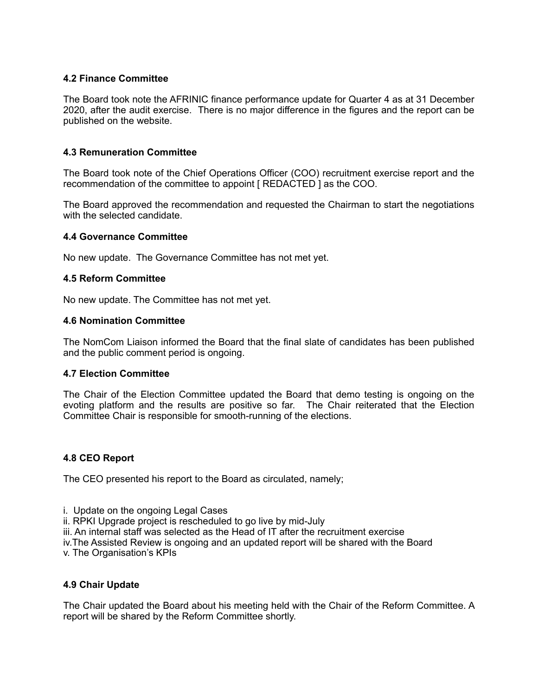### **4.2 Finance Committee**

The Board took note the AFRINIC finance performance update for Quarter 4 as at 31 December 2020, after the audit exercise. There is no major difference in the figures and the report can be published on the website.

### **4.3 Remuneration Committee**

The Board took note of the Chief Operations Officer (COO) recruitment exercise report and the recommendation of the committee to appoint [ REDACTED ] as the COO.

The Board approved the recommendation and requested the Chairman to start the negotiations with the selected candidate.

#### **4.4 Governance Committee**

No new update. The Governance Committee has not met yet.

#### **4.5 Reform Committee**

No new update. The Committee has not met yet.

#### **4.6 Nomination Committee**

The NomCom Liaison informed the Board that the final slate of candidates has been published and the public comment period is ongoing.

#### **4.7 Election Committee**

The Chair of the Election Committee updated the Board that demo testing is ongoing on the evoting platform and the results are positive so far. The Chair reiterated that the Election Committee Chair is responsible for smooth-running of the elections.

#### **4.8 CEO Report**

The CEO presented his report to the Board as circulated, namely;

- i. Update on the ongoing Legal Cases
- ii. RPKI Upgrade project is rescheduled to go live by mid-July
- iii. An internal staff was selected as the Head of IT after the recruitment exercise
- iv.The Assisted Review is ongoing and an updated report will be shared with the Board

v. The Organisation's KPIs

### **4.9 Chair Update**

The Chair updated the Board about his meeting held with the Chair of the Reform Committee. A report will be shared by the Reform Committee shortly.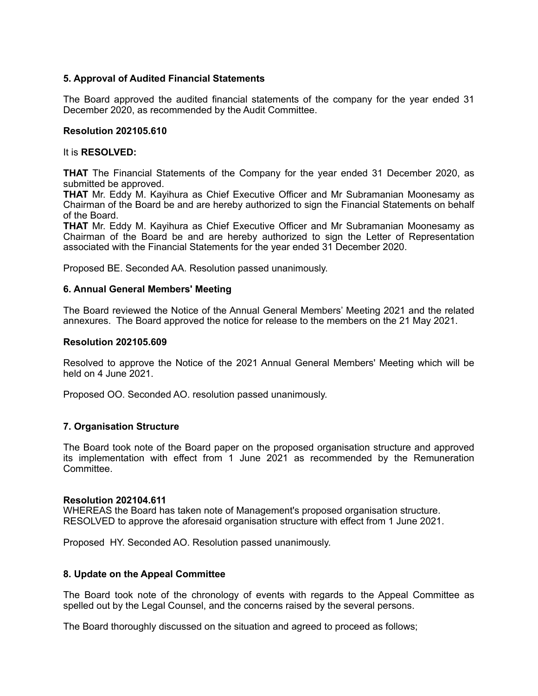### **5. Approval of Audited Financial Statements**

The Board approved the audited financial statements of the company for the year ended 31 December 2020, as recommended by the Audit Committee.

#### **Resolution 202105.610**

#### It is **RESOLVED:**

**THAT** The Financial Statements of the Company for the year ended 31 December 2020, as submitted be approved.

**THAT** Mr. Eddy M. Kayihura as Chief Executive Officer and Mr Subramanian Moonesamy as Chairman of the Board be and are hereby authorized to sign the Financial Statements on behalf of the Board.

**THAT** Mr. Eddy M. Kayihura as Chief Executive Officer and Mr Subramanian Moonesamy as Chairman of the Board be and are hereby authorized to sign the Letter of Representation associated with the Financial Statements for the year ended 31 December 2020.

Proposed BE. Seconded AA. Resolution passed unanimously.

#### **6. Annual General Members' Meeting**

The Board reviewed the Notice of the Annual General Members' Meeting 2021 and the related annexures. The Board approved the notice for release to the members on the 21 May 2021.

#### **Resolution 202105.609**

Resolved to approve the Notice of the 2021 Annual General Members' Meeting which will be held on 4 June 2021.

Proposed OO. Seconded AO. resolution passed unanimously.

#### **7. Organisation Structure**

The Board took note of the Board paper on the proposed organisation structure and approved its implementation with effect from 1 June 2021 as recommended by the Remuneration Committee.

#### **Resolution 202104.611**

WHEREAS the Board has taken note of Management's proposed organisation structure. RESOLVED to approve the aforesaid organisation structure with effect from 1 June 2021.

Proposed HY. Seconded AO. Resolution passed unanimously.

#### **8. Update on the Appeal Committee**

The Board took note of the chronology of events with regards to the Appeal Committee as spelled out by the Legal Counsel, and the concerns raised by the several persons.

The Board thoroughly discussed on the situation and agreed to proceed as follows;